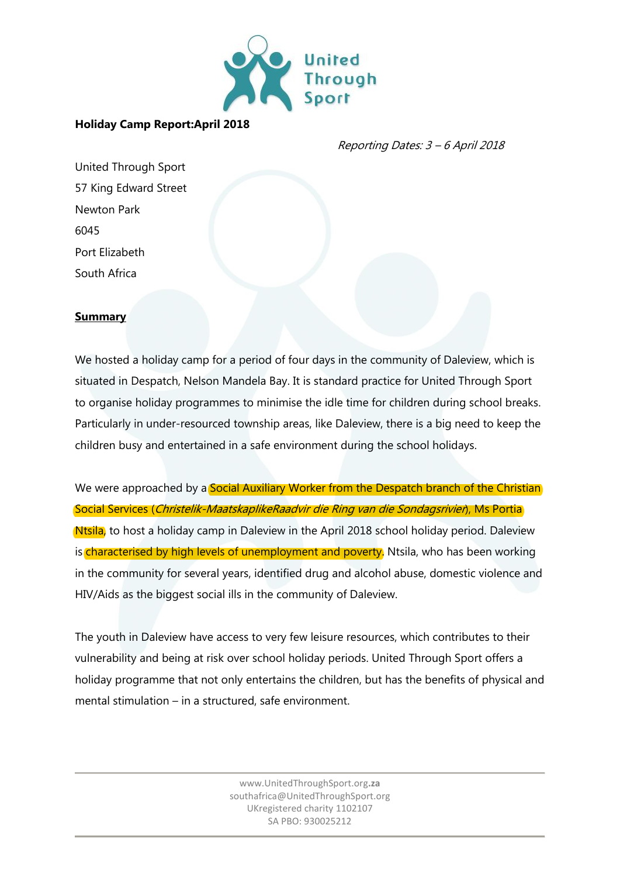

#### **Holiday Camp Report:April 2018**

Reporting Dates: 3 – 6 April 2018

United Through Sport 57 King Edward Street Newton Park 6045 Port Elizabeth South Africa

#### **Summary**

We hosted a holiday camp for a period of four days in the community of Daleview, which is situated in Despatch, Nelson Mandela Bay. It is standard practice for United Through Sport to organise holiday programmes to minimise the idle time for children during school breaks. Particularly in under-resourced township areas, like Daleview, there is a big need to keep the children busy and entertained in a safe environment during the school holidays.

We were approached by a **Social Auxiliary Worker from the Despatch branch of the Christian** Social Services (Christelik-MaatskaplikeRaadvir die Ring van die Sondagsrivier), Ms Portia Ntsila, to host a holiday camp in Daleview in the April 2018 school holiday period. Daleview is characterised by high levels of unemployment and poverty. Ntsila, who has been working in the community for several years, identified drug and alcohol abuse, domestic violence and HIV/Aids as the biggest social ills in the community of Daleview.

The youth in Daleview have access to very few leisure resources, which contributes to their vulnerability and being at risk over school holiday periods. United Through Sport offers a holiday programme that not only entertains the children, but has the benefits of physical and mental stimulation – in a structured, safe environment.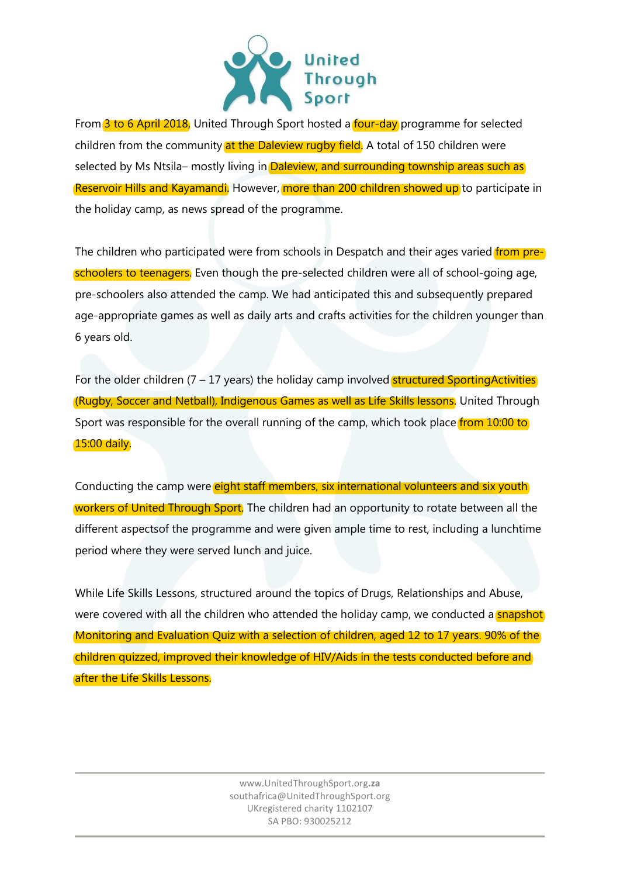

From 3 to 6 April 2018, United Through Sport hosted a four-day programme for selected children from the community at the Daleview rugby field. A total of 150 children were selected by Ms Ntsila– mostly living in Daleview, and surrounding township areas such as Reservoir Hills and Kayamandi. However, more than 200 children showed up to participate in the holiday camp, as news spread of the programme.

The children who participated were from schools in Despatch and their ages varied from preschoolers to teenagers. Even though the pre-selected children were all of school-going age, pre-schoolers also attended the camp. We had anticipated this and subsequently prepared age-appropriate games as well as daily arts and crafts activities for the children younger than 6 years old.

For the older children  $(7 - 17 \text{ years})$  the holiday camp involved **structured SportingActivities** (Rugby, Soccer and Netball), Indigenous Games as well as Life Skills lessons. United Through Sport was responsible for the overall running of the camp, which took place from 10:00 to 15:00 daily.

Conducting the camp were eight staff members, six international volunteers and six youth workers of United Through Sport. The children had an opportunity to rotate between all the different aspectsof the programme and were given ample time to rest, including a lunchtime period where they were served lunch and juice.

While Life Skills Lessons, structured around the topics of Drugs, Relationships and Abuse, were covered with all the children who attended the holiday camp, we conducted a snapshot Monitoring and Evaluation Quiz with a selection of children, aged 12 to 17 years. 90% of the children quizzed, improved their knowledge of HIV/Aids in the tests conducted before and after the Life Skills Lessons.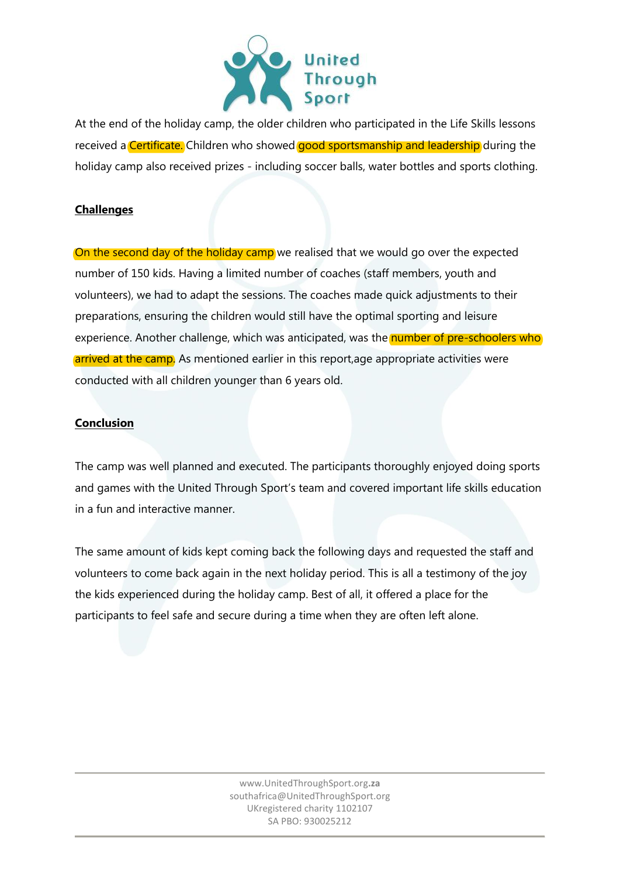

At the end of the holiday camp, the older children who participated in the Life Skills lessons received a **Certificate.** Children who showed **good sportsmanship and leadership** during the holiday camp also received prizes - including soccer balls, water bottles and sports clothing.

### **Challenges**

On the second day of the holiday camp we realised that we would go over the expected number of 150 kids. Having a limited number of coaches (staff members, youth and volunteers), we had to adapt the sessions. The coaches made quick adjustments to their preparations, ensuring the children would still have the optimal sporting and leisure experience. Another challenge, which was anticipated, was the number of pre-schoolers who arrived at the camp. As mentioned earlier in this report, age appropriate activities were conducted with all children younger than 6 years old.

#### **Conclusion**

The camp was well planned and executed. The participants thoroughly enjoyed doing sports and games with the United Through Sport's team and covered important life skills education in a fun and interactive manner.

The same amount of kids kept coming back the following days and requested the staff and volunteers to come back again in the next holiday period. This is all a testimony of the joy the kids experienced during the holiday camp. Best of all, it offered a place for the participants to feel safe and secure during a time when they are often left alone.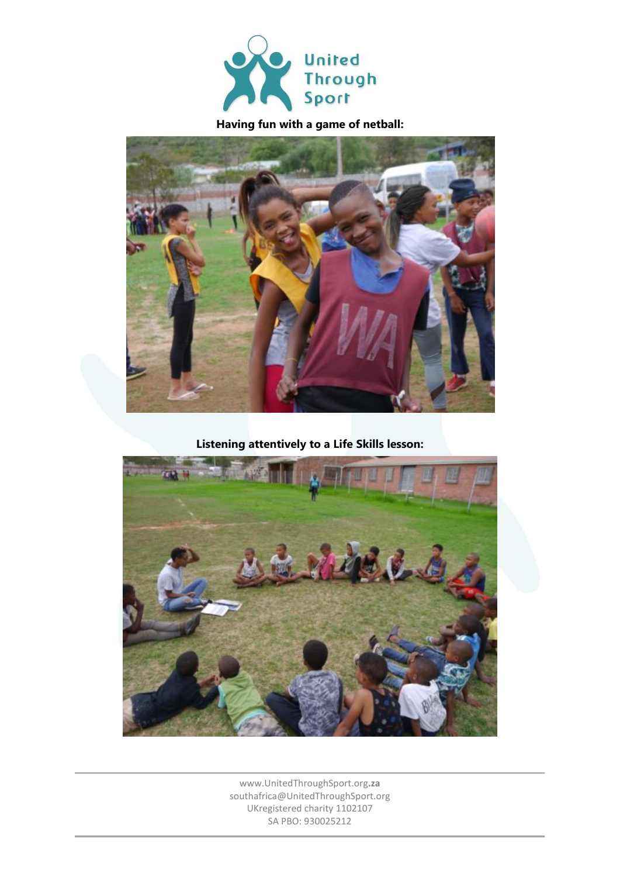

# **Having fun with a game of netball:**



**Listening attentively to a Life Skills lesson:**

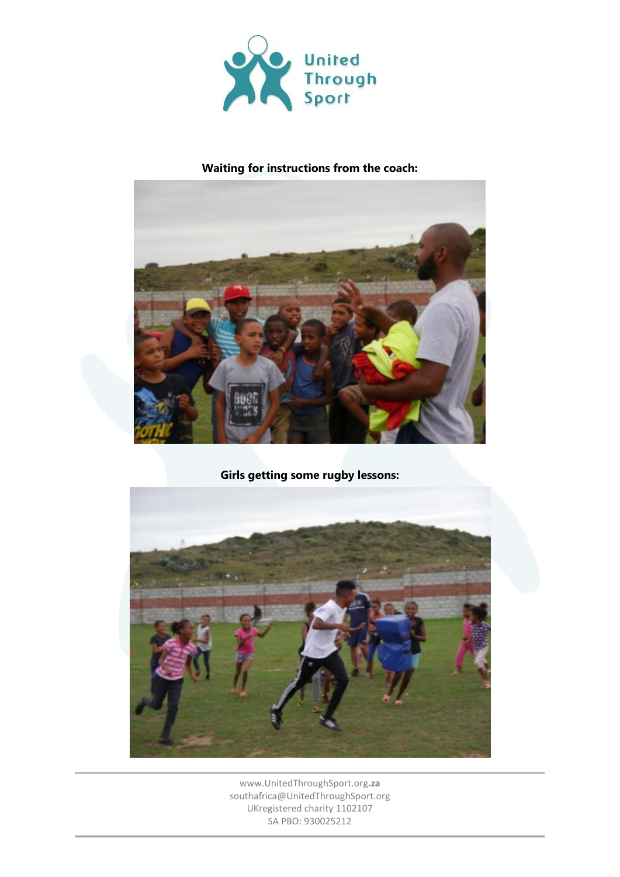

### **Waiting for instructions from the coach:**



**Girls getting some rugby lessons:**

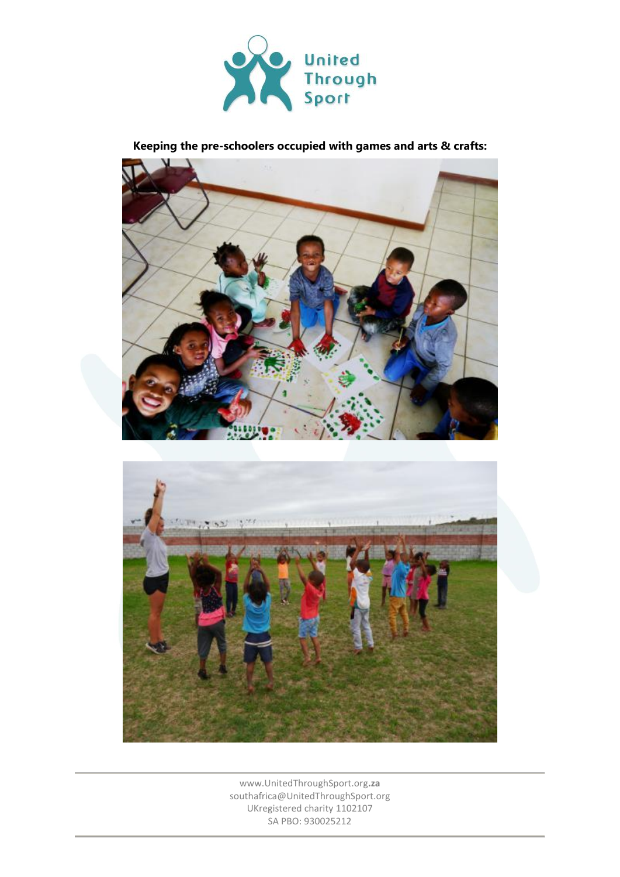

**Keeping the pre-schoolers occupied with games and arts & crafts:**